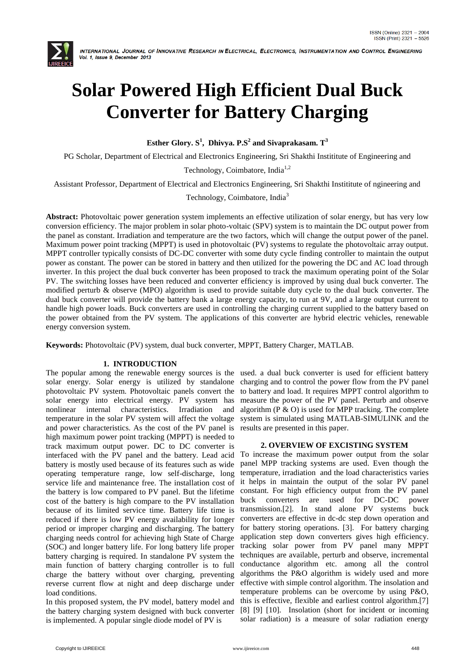

# **Solar Powered High Efficient Dual Buck Converter for Battery Charging**

**Esther Glory. S<sup>1</sup> , Dhivya. P.S<sup>2</sup> and Sivaprakasam. T<sup>3</sup>**

PG Scholar, Department of Electrical and Electronics Engineering, Sri Shakthi Instititute of Engineering and

Technology, Coimbatore, India<sup>1,2</sup>

Assistant Professor, Department of Electrical and Electronics Engineering, Sri Shakthi Instititute of ngineering and

Technology, Coimbatore, India<sup>3</sup>

**Abstract:** Photovoltaic power generation system implements an effective utilization of solar energy, but has very low conversion efficiency. The major problem in solar photo-voltaic (SPV) system is to maintain the DC output power from the panel as constant. Irradiation and temperature are the two factors, which will change the output power of the panel. Maximum power point tracking (MPPT) is used in photovoltaic (PV) systems to regulate the photovoltaic array output. MPPT controller typically consists of DC-DC converter with some duty cycle finding controller to maintain the output power as constant. The power can be stored in battery and then utilized for the powering the DC and AC load through inverter. In this project the dual buck converter has been proposed to track the maximum operating point of the Solar PV. The switching losses have been reduced and converter efficiency is improved by using dual buck converter. The modified perturb & observe (MPO) algorithm is used to provide suitable duty cycle to the dual buck converter. The dual buck converter will provide the battery bank a large energy capacity, to run at 9V, and a large output current to handle high power loads. Buck converters are used in controlling the charging current supplied to the battery based on the power obtained from the PV system. The applications of this converter are hybrid electric vehicles, renewable energy conversion system.

**Keywords:** Photovoltaic (PV) system, dual buck converter, MPPT, Battery Charger, MATLAB.

# **1. INTRODUCTION**

The popular among the renewable energy sources is the used. a dual buck converter is used for efficient battery solar energy. Solar energy is utilized by standalone photovoltaic PV system. Photovoltaic panels convert the solar energy into electrical energy. PV system has nonlinear internal characteristics. Irradiation and temperature in the solar PV system will affect the voltage and power characteristics. As the cost of the PV panel is high maximum power point tracking (MPPT) is needed to track maximum output power. DC to DC converter is interfaced with the PV panel and the battery. Lead acid battery is mostly used because of its features such as wide operating temperature range, low self-discharge, long service life and maintenance free. The installation cost of the battery is low compared to PV panel. But the lifetime cost of the battery is high compare to the PV installation because of its limited service time. Battery life time is reduced if there is low PV energy availability for longer period or improper charging and discharging. The battery charging needs control for achieving high State of Charge (SOC) and longer battery life. For long battery life proper battery charging is required. In standalone PV system the main function of battery charging controller is to full charge the battery without over charging, preventing reverse current flow at night and deep discharge under load conditions.

In this proposed system, the PV model, battery model and the battery charging system designed with buck converter is implemented. A popular single diode model of PV is

charging and to control the power flow from the PV panel to battery and load. It requires MPPT control algorithm to measure the power of the PV panel. Perturb and observe algorithm ( $P \& O$ ) is used for MPP tracking. The complete system is simulated using MATLAB-SIMULINK and the results are presented in this paper.

#### **2. OVERVIEW OF EXCISTING SYSTEM**

To increase the maximum power output from the solar panel MPP tracking systems are used. Even though the temperature, irradiation and the load characteristics varies it helps in maintain the output of the solar PV panel constant. For high efficiency output from the PV panel buck converters are used for DC-DC power transmission.[2]. In stand alone PV systems buck converters are effective in dc-dc step down operation and for battery storing operations. [3]. For battery charging application step down converters gives high efficiency. tracking solar power from PV panel many MPPT techniques are available, perturb and observe, incremental conductance algorithm etc. among all the control algorithms the P&O algorithm is widely used and more effective with simple control algorithm. The insolation and temperature problems can be overcome by using P&O, this is effective, flexible and earliest control algorithm.[7] [8] [9] [10]. Insolation (short for incident or incoming solar radiation) is a measure of solar radiation energy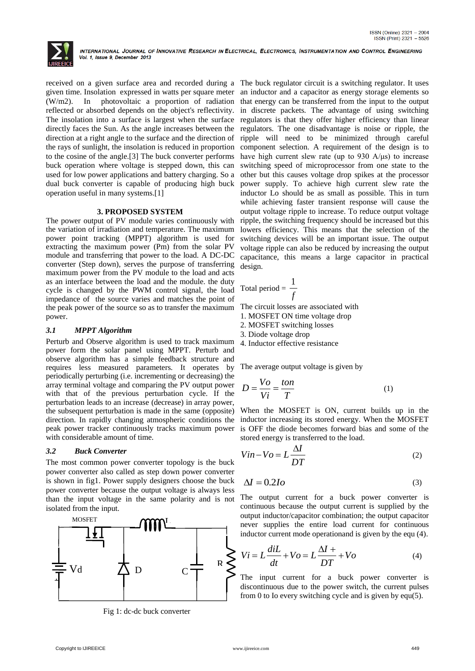

received on a given surface area and recorded during a The buck regulator circuit is a switching regulator. It uses given time. Insolation expressed in watts per square meter an inductor and a capacitor as energy storage elements so (W/m2). In photovoltaic a proportion of radiation that energy can be transferred from the input to the output reflected or absorbed depends on the object's reflectivity. in discrete packets. The advantage of using switching The insolation into a surface is largest when the surface regulators is that they offer higher efficiency than linear directly faces the Sun. As the angle increases between the direction at a right angle to the surface and the direction of the rays of sunlight, the insolation is reduced in proportion to the cosine of the angle.[3] The buck converter performs buck operation where voltage is stepped down, this can used for low power applications and battery charging. So a dual buck converter is capable of producing high buck operation useful in many systems.[1]

#### **3. PROPOSED SYSTEM**

The power output of PV module varies continuously with the variation of irradiation and temperature. The maximum power point tracking (MPPT) algorithm is used for extracting the maximum power (Pm) from the solar PV module and transferring that power to the load. A DC-DC converter (Step down), serves the purpose of transferring maximum power from the PV module to the load and acts as an interface between the load and the module. the duty cycle is changed by the PWM control signal, the load impedance of the source varies and matches the point of the peak power of the source so as to transfer the maximum power.

# *3.1 MPPT Algorithm*

Perturb and Observe algorithm is used to track maximum power form the solar panel using MPPT. Perturb and observe algorithm has a simple feedback structure and requires less measured parameters. It operates by periodically perturbing (i.e. incrementing or decreasing) the array terminal voltage and comparing the PV output power with that of the previous perturbation cycle. If the perturbation leads to an increase (decrease) in array power, the subsequent perturbation is made in the same (opposite) direction. In rapidly changing atmospheric conditions the peak power tracker continuously tracks maximum power with considerable amount of time.

#### *3.2 Buck Converter*

The most common power converter topology is the buck power converter also called as step down power converter is shown in fig1. Power supply designers choose the buck power converter because the output voltage is always less than the input voltage in the same polarity and is not isolated from the input.



Fig 1: dc-dc buck converter

regulators. The one disadvantage is noise or ripple, the ripple will need to be minimized through careful component selection. A requirement of the design is to have high current slew rate (up to 930  $A/\mu s$ ) to increase switching speed of microprocessor from one state to the other but this causes voltage drop spikes at the processor power supply. To achieve high current slew rate the inductor Lo should be as small as possible. This in turn while achieving faster transient response will cause the output voltage ripple to increase. To reduce output voltage ripple, the switching frequency should be increased but this lowers efficiency. This means that the selection of the switching devices will be an important issue. The output voltage ripple can also be reduced by increasing the output capacitance, this means a large capacitor in practical design.

$$
Total period = \frac{1}{f}
$$

The circuit losses are associated with

- 1. MOSFET ON time voltage drop
- 2. MOSFET switching losses
- 3. Diode voltage drop
- 4. Inductor effective resistance

The average output voltage is given by

$$
D = \frac{V_o}{Vi} = \frac{ton}{T}
$$
 (1)

When the MOSFET is ON, current builds up in the inductor increasing its stored energy. When the MOSFET is OFF the diode becomes forward bias and some of the stored energy is transferred to the load.

$$
Vin -Vo = L\frac{\Delta I}{DT}
$$
 (2)

$$
\Delta I = 0.2Io \tag{3}
$$

The output current for a buck power converter is continuous because the output current is supplied by the output inductor/capacitor combination; the output capacitor never supplies the entire load current for continuous inductor current mode operationand is given by the equ (4).

$$
Vi = L\frac{diL}{dt} + Vo = L\frac{\Delta I + D}{T} + Vo \tag{4}
$$

The input current for a buck power converter is discontinuous due to the power switch, the current pulses from 0 to Io every switching cycle and is given by equ(5).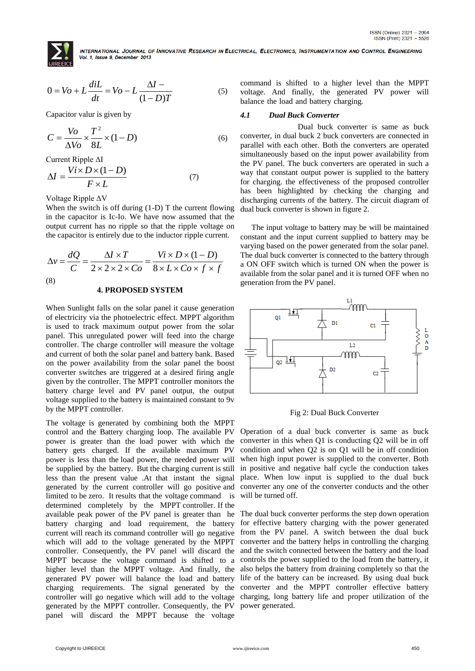

$$
0 = Vo + L\frac{diL}{dt} = Vo - L\frac{\Delta I - (1 - D)T}{(1 - D)T}
$$
 (5)

Capacitor valur is given by

$$
C = \frac{V_O}{\Delta V_O} \times \frac{T^2}{8L} \times (1 - D) \tag{6}
$$

Current Ripple ΔI

$$
\Delta I = \frac{Vi \times D \times (1 - D)}{F \times L} \tag{7}
$$

Voltage Ripple ΔV

When the switch is off during  $(1-D)$  T the current flowing in the capacitor is Ic-Io. We have now assumed that the output current has no ripple so that the ripple voltage on the capacitor is entirely due to the inductor ripple current.

$$
\Delta v = \frac{dQ}{C} = \frac{\Delta I \times T}{2 \times 2 \times 2 \times Co} = \frac{Vi \times D \times (1 - D)}{8 \times L \times Co \times f \times f}
$$
\n(8)\n  
\n4. PROPOSED SYSTEM

When Sunlight falls on the solar panel it cause generation of electricity via the photoelectric effect. MPPT algorithm is used to track maximum output power from the solar panel. This unregulated power will feed into the charge controller. The charge controller will measure the voltage and current of both the solar panel and battery bank. Based on the power availability from the solar panel the boost converter switches are triggered at a desired firing angle given by the controller. The MPPT controller monitors the battery charge level and PV panel output, the output voltage supplied to the battery is maintained constant to 9v by the MPPT controller.

Control interaction of the state interaction of the former form of the state and the state of the state interaction of the state interaction of the state interaction of the state interaction of the state interaction of th The voltage is generated by combining both the MPPT control and the Battery charging loop. The available PV power is greater than the load power with which the battery gets charged. If the available maximum PV power is less than the load power, the needed power will be supplied by the battery. But the charging current is still less than the present value .At that instant the signal generated by the current controller will go positive and limited to be zero. It results that the voltage command is determined completely by the MPPT controller. If the available peak power of the PV panel is greater than he battery charging and load requirement, the battery current will reach its command controller will go negative which will add to the voltage generated by the MPPT controller. Consequently, the PV panel will discard the MPPT because the voltage command is shifted to a higher level than the MPPT voltage. And finally, the generated PV power will balance the load and battery life of the battery can be increased. By using dual buck charging requirements. The signal generated by the converter and the MPPT controller effective battery controller will go negative which will add to the voltage charging, long battery life and proper utilization of the generated by the MPPT controller. Consequently, the PV panel will discard the MPPT because the voltage

command is shifted to a higher level than the MPPT voltage. And finally, the generated PV power will balance the load and battery charging.

## *4.1 Dual Buck Converter*

Dual buck converter is same as buck converter, in dual buck 2 buck converters are connected in parallel with each other. Both the converters are operated simultaneously based on the input power availability from the PV panel. The buck converters are operated in such a way that constant output power is supplied to the battery for charging. the effectiveness of the proposed controller has been highlighted by checking the charging and discharging currents of the battery. The circuit diagram of dual buck converter is shown in figure 2.

The input voltage to battery may be will be maintained constant and the input current supplied to battery may be varying based on the power generated from the solar panel. The dual buck converter is connected to the battery through a ON OFF switch which is turned ON when the power is available from the solar panel and it is turned OFF when no generation from the PV panel.



Fig 2: Dual Buck Converter

Operation of a dual buck converter is same as buck converter in this when Q1 is conducting Q2 will be in off condition and when Q2 is on Q1 will be in off condition when high input power is supplied to the converter. Both in positive and negative half cycle the conduction takes place. When low input is supplied to the dual buck converter any one of the converter conducts and the other will be turned off.

The dual buck converter performs the step down operation for effective battery charging with the power generated from the PV panel. A switch between the dual buck converter and the battery helps in controlling the charging and the switch connected between the battery and the load controls the power supplied to the load from the battery, it also helps the battery from draining completely so that the power generated.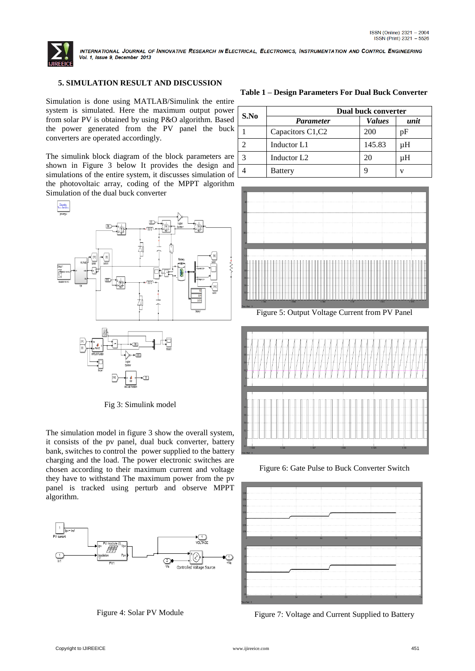

# **5. SIMULATION RESULT AND DISCUSSION**

Simulation is done using MATLAB/Simulink the entire system is simulated. Here the maximum output power from solar PV is obtained by using P&O algorithm. Based the power generated from the PV panel the buck converters are operated accordingly.

The simulink block diagram of the block parameters are shown in Figure 3 below It provides the design and simulations of the entire system, it discusses simulation of the photovoltaic array, coding of the MPPT algorithm Simulation of the dual buck converter



Fig 3: Simulink model

The simulation model in figure 3 show the overall system, it consists of the pv panel, dual buck converter, battery bank, switches to control the power supplied to the battery charging and the load. The power electronic switches are chosen according to their maximum current and voltage they have to withstand The maximum power from the pv panel is tracked using perturb and observe MPPT algorithm.



Figure 4: Solar PV Module

**Table 1 – Design Parameters For Dual Buck Converter**

| S.No | Dual buck converter     |               |      |
|------|-------------------------|---------------|------|
|      | <b>Parameter</b>        | <b>Values</b> | unit |
|      | Capacitors C1, C2       | 200           | pF   |
|      | Inductor L1             | 145.83        | uН   |
|      | Inductor L <sub>2</sub> | 20            | μH   |
|      | <b>Battery</b>          |               | v    |



Figure 5: Output Voltage Current from PV Panel



Figure 6: Gate Pulse to Buck Converter Switch



Figure 7: Voltage and Current Supplied to Battery